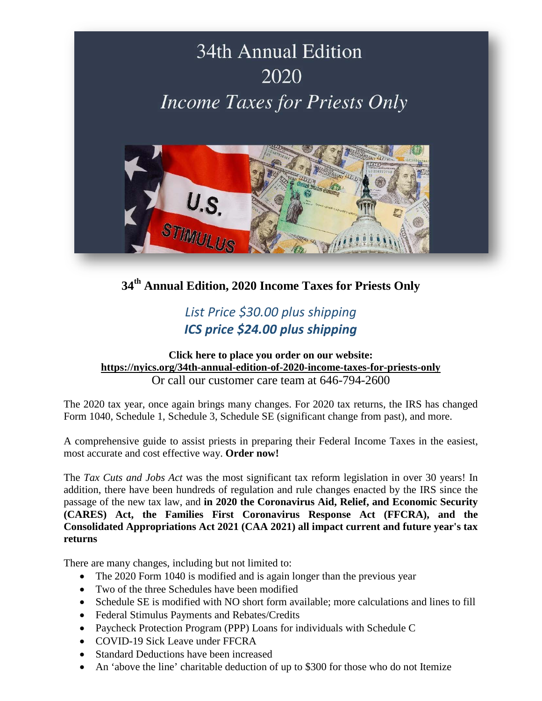

**34th Annual Edition, 2020 Income Taxes for Priests Only**

## *List Price \$30.00 plus shipping ICS price \$24.00 plus shipping*

### **Click here to place you order on our website: <https://nyics.org/34th-annual-edition-of-2020-income-taxes-for-priests-only>** Or call our customer care team at 646-794-2600

The 2020 tax year, once again brings many changes. For 2020 tax returns, the IRS has changed Form 1040, Schedule 1, Schedule 3, Schedule SE (significant change from past), and more.

A comprehensive guide to assist priests in preparing their Federal Income Taxes in the easiest, most accurate and cost effective way. **Order now!**

The *Tax Cuts and Jobs Act* was the most significant tax reform legislation in over 30 years! In addition, there have been hundreds of regulation and rule changes enacted by the IRS since the passage of the new tax law, and **in 2020 the Coronavirus Aid, Relief, and Economic Security (CARES) Act, the Families First Coronavirus Response Act (FFCRA), and the Consolidated Appropriations Act 2021 (CAA 2021) all impact current and future year's tax returns**

There are many changes, including but not limited to:

- The 2020 Form 1040 is modified and is again longer than the previous year
- Two of the three Schedules have been modified
- Schedule SE is modified with NO short form available; more calculations and lines to fill
- Federal Stimulus Payments and Rebates/Credits
- Paycheck Protection Program (PPP) Loans for individuals with Schedule C
- COVID-19 Sick Leave under FFCRA
- Standard Deductions have been increased
- An 'above the line' charitable deduction of up to \$300 for those who do not Itemize